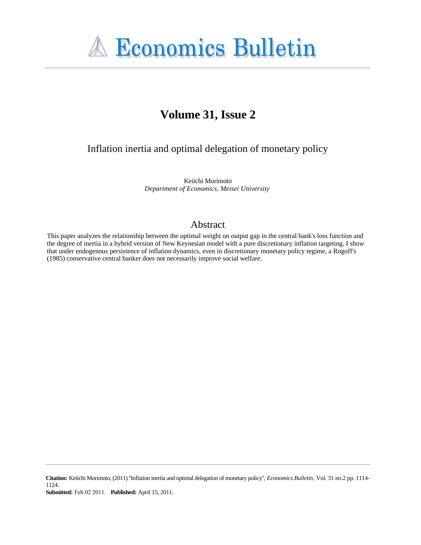

# **Volume 31, Issue 2**

Inflation inertia and optimal delegation of monetary policy

Keiichi Morimoto *Department of Economics, Meisei University*

### Abstract

This paper analyzes the relationship between the optimal weight on output gap in the central bank's loss function and the degree of inertia in a hybrid version of New Keynesian model with a pure discretionary inflation targeting. I show that under endogenous persistence of inflation dynamics, even in discretionary monetary policy regime, a Rogoff's (1985) conservative central banker does not necessarily improve social welfare.

**Citation:** Keiichi Morimoto, (2011) ''Inflation inertia and optimal delegation of monetary policy'', *Economics Bulletin*, Vol. 31 no.2 pp. 1114- 1124. **Submitted:** Feb 02 2011. **Published:** April 15, 2011.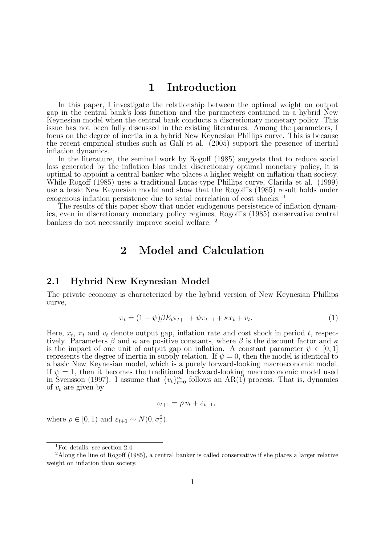## **1 Introduction**

In this paper, I investigate the relationship between the optimal weight on output gap in the central bank's loss function and the parameters contained in a hybrid New Keynesian model when the central bank conducts a discretionary monetary policy. This issue has not been fully discussed in the existing literatures. Among the parameters, I focus on the degree of inertia in a hybrid New Keynesian Phillips curve. This is because the recent empirical studies such as Galí et al. (2005) support the presence of inertial inflation dynamics.

In the literature, the seminal work by Rogoff (1985) suggests that to reduce social loss generated by the inflation bias under discretionary optimal monetary policy, it is optimal to appoint a central banker who places a higher weight on inflation than society. While Rogoff (1985) uses a traditional Lucas-type Phillips curve, Clarida et al. (1999) use a basic New Keynesian model and show that the Rogoff's (1985) result holds under exogenous inflation persistence due to serial correlation of cost shocks. <sup>1</sup>

The results of this paper show that under endogenous persistence of inflation dynamics, even in discretionary monetary policy regimes, Rogoff's (1985) conservative central bankers do not necessarily improve social welfare. <sup>2</sup>

## **2 Model and Calculation**

#### **2.1 Hybrid New Keynesian Model**

The private economy is characterized by the hybrid version of New Keynesian Phillips curve,

$$
\pi_t = (1 - \psi)\beta E_t \pi_{t+1} + \psi \pi_{t-1} + \kappa x_t + v_t.
$$
\n(1)

Here,  $x_t$ ,  $\pi_t$  and  $v_t$  denote output gap, inflation rate and cost shock in period  $t$ , respectively. Parameters  $\beta$  and  $\kappa$  are positive constants, where  $\beta$  is the discount factor and  $\kappa$ is the impact of one unit of output gap on inflation. A constant parameter  $\psi \in [0,1]$ represents the degree of inertia in supply relation. If  $\psi = 0$ , then the model is identical to a basic New Keynesian model, which is a purely forward-looking macroeconomic model. If  $\psi = 1$ , then it becomes the traditional backward-looking macroeconomic model used in Svensson (1997). I assume that  $\{v_t\}_{t=0}^{\infty}$  follows an AR(1) process. That is, dynamics of  $v_t$  are given by

$$
v_{t+1} = \rho v_t + \varepsilon_{t+1},
$$

where  $\rho \in [0, 1)$  and  $\varepsilon_{t+1} \sim N(0, \sigma_{\varepsilon}^2)$ .

<sup>1</sup>For details, see section 2.4.

<sup>&</sup>lt;sup>2</sup>Along the line of Rogoff (1985), a central banker is called conservative if she places a larger relative weight on inflation than society.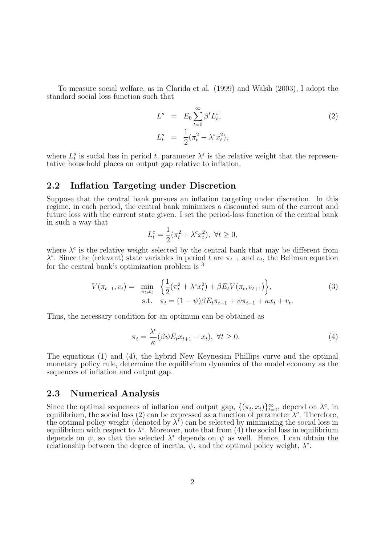To measure social welfare, as in Clarida et al. (1999) and Walsh (2003), I adopt the standard social loss function such that

$$
L^s = E_0 \sum_{t=0}^{\infty} \beta^t L_t^s,
$$
  
\n
$$
L_t^s = \frac{1}{2} (\pi_t^2 + \lambda^s x_t^2),
$$
\n(2)

where  $L_t^s$  is social loss in period *t*, parameter  $\lambda^s$  is the relative weight that the representative household places on output gap relative to inflation.

#### **2.2 Inflation Targeting under Discretion**

Suppose that the central bank pursues an inflation targeting under discretion. In this regime, in each period, the central bank minimizes a discounted sum of the current and future loss with the current state given. I set the period-loss function of the central bank in such a way that

$$
L_t^c = \frac{1}{2}(\pi_t^2 + \lambda^c x_t^2), \ \forall t \ge 0,
$$

where  $\lambda^c$  is the relative weight selected by the central bank that may be different from  $\lambda^s$ . Since the (relevant) state variables in period *t* are  $\pi_{t-1}$  and  $v_t$ , the Bellman equation for the central bank's optimization problem is <sup>3</sup>

$$
V(\pi_{t-1}, v_t) = \min_{\pi_t, x_t} \left\{ \frac{1}{2} (\pi_t^2 + \lambda^c x_t^2) + \beta E_t V(\pi_t, v_{t+1}) \right\},
$$
  
s.t.  $\pi_t = (1 - \psi)\beta E_t \pi_{t+1} + \psi \pi_{t-1} + \kappa x_t + v_t.$  (3)

Thus, the necessary condition for an optimum can be obtained as

$$
\pi_t = \frac{\lambda^c}{\kappa} (\beta \psi E_t x_{t+1} - x_t), \ \forall t \ge 0.
$$
\n<sup>(4)</sup>

The equations (1) and (4), the hybrid New Keynesian Phillips curve and the optimal monetary policy rule, determine the equilibrium dynamics of the model economy as the sequences of inflation and output gap.

#### **2.3 Numerical Analysis**

Since the optimal sequences of inflation and output gap,  $\{(\pi_t, x_t)\}_{t=0}^{\infty}$ , depend on  $\lambda_c^c$ , in equilibrium, the social loss (2) can be expressed as a function of parameter  $\lambda^c$ . Therefore, the optimal policy weight (denoted by  $\lambda^*$ ) can be selected by minimizing the social loss in equilibrium with respect to  $\lambda^c$ . Moreover, note that from  $(4)$  the social loss in equilibrium depends on  $\psi$ , so that the selected  $\lambda^*$  depends on  $\psi$  as well. Hence, I can obtain the relationship between the degree of inertia,  $\psi$ , and the optimal policy weight,  $\lambda^*$ .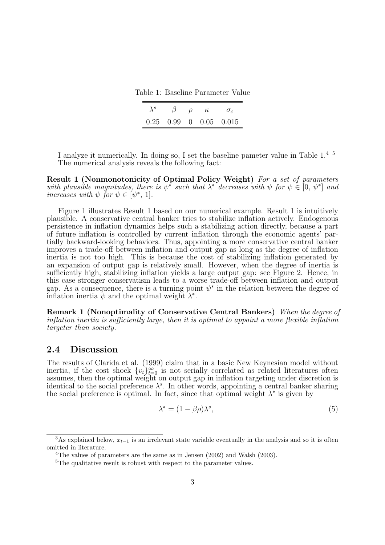Table 1: Baseline Parameter Value

| $\lambda^{s}$ |  | $\kappa$ |                                |
|---------------|--|----------|--------------------------------|
|               |  |          | $0.25$ $0.99$ 0 $0.05$ $0.015$ |

I analyze it numerically. In doing so, I set the baseline pameter value in Table 1.4 5 The numerical analysis reveals the following fact:

**Result 1 (Nonmonotonicity of Optimal Policy Weight)** *For a set of parameters with plausible magnitudes, there is*  $\psi^*$  *such that*  $\lambda^*$  *decreases with*  $\psi$  *for*  $\psi \in [0, \psi^*]$  *and increases with*  $\psi$  *for*  $\psi \in [\psi^*, 1]$ *.* 

Figure 1 illustrates Result 1 based on our numerical example. Result 1 is intuitively plausible. A conservative central banker tries to stabilize inflation actively. Endogenous persistence in inflation dynamics helps such a stabilizing action directly, because a part of future inflation is controlled by current inflation through the economic agents' partially backward-looking behaviors. Thus, appointing a more conservative central banker improves a trade-off between inflation and output gap as long as the degree of inflation inertia is not too high. This is because the cost of stabilizing inflation generated by an expansion of output gap is relatively small. However, when the degree of inertia is sufficiently high, stabilizing inflation yields a large output gap: see Figure 2. Hence, in this case stronger conservatism leads to a worse trade-off between inflation and output gap. As a consequence, there is a turning point  $\psi^*$  in the relation between the degree of inflation inertia  $\psi$  and the optimal weight  $\lambda^*$ .

**Remark 1 (Nonoptimality of Conservative Central Bankers)** *When the degree of inflation inertia is sufficiently large, then it is optimal to appoint a more flexible inflation targeter than society.*

#### **2.4 Discussion**

The results of Clarida et al. (1999) claim that in a basic New Keynesian model without inertia, if the cost shock  $\{v_t\}_{t=0}^{\infty}$  is not serially correlated as related literatures often assumes, then the optimal weight on output gap in inflation targeting under discretion is identical to the social preference  $\lambda^s$ . In other words, appointing a central banker sharing the social preference is optimal. In fact, since that optimal weight  $\lambda^*$  is given by

$$
\lambda^* = (1 - \beta \rho) \lambda^s,\tag{5}
$$

<sup>&</sup>lt;sup>3</sup>As explained below,  $x_{t-1}$  is an irrelevant state variable eventually in the analysis and so it is often omitted in literature.

<sup>&</sup>lt;sup>4</sup>The values of parameters are the same as in Jensen  $(2002)$  and Walsh  $(2003)$ .

 ${}^{5}$ The qualitative result is robust with respect to the parameter values.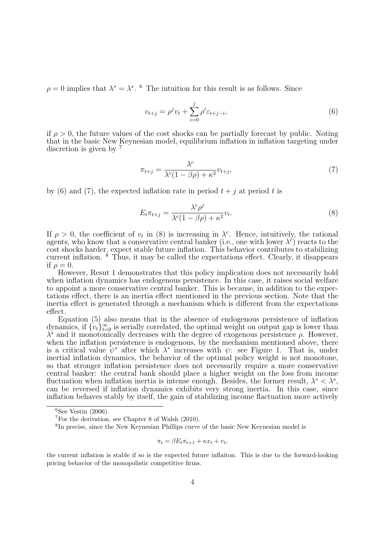$\rho = 0$  implies that  $\lambda^* = \lambda^s$ . <sup>6</sup> The intuition for this result is as follows. Since

$$
v_{t+j} = \rho^j v_t + \sum_{i=0}^j \rho^i \varepsilon_{t+j-i},
$$
\n(6)

if  $\rho > 0$ , the future values of the cost shocks can be partially forecast by public. Noting that in the basic New Keynesian model, equilibrium inflation in inflation targeting under discretion is given by  $7$ 

$$
\pi_{t+j} = \frac{\lambda^c}{\lambda^c (1 - \beta \rho) + \kappa^2} v_{t+j},\tag{7}
$$

by (6) and (7), the expected inflation rate in period  $t + i$  at period  $t$  is

$$
E_t \pi_{t+j} = \frac{\lambda^c \rho^j}{\lambda^c (1 - \beta \rho) + \kappa^2} v_t.
$$
\n(8)

If  $\rho > 0$ , the coefficient of  $v_t$  in (8) is increasing in  $\lambda^c$ . Hence, intuitively, the rational agents, who know that a conservative central banker (i.e., one with lower  $\lambda^{\check{c}}$ ) reacts to the cost shocks harder, expect stable future inflation. This behavior contributes to stabilizing current inflation. <sup>8</sup> Thus, it may be called the expectations effect. Clearly, it disappears if  $\rho = 0$ .

However, Resut 1 demonstrates that this policy implication does not necessarily hold when inflation dynamics has endogenous persistence. In this case, it raises social welfare to appoint a more conservative central banker. This is because, in addition to the expectations effect, there is an inertia effect mentioned in the previous section. Note that the inertia effect is generated through a mechanism which is different from the expectations effect.

Equation (5) also means that in the absence of endogenous persistence of inflation dynamics, if  ${v_t}_{t=0}^{\infty}$  is serially correlated, the optimal weight on output gap is lower than  $λ<sup>s</sup>$  and it monotonically decreases with the degree of exogenous persistence *ρ*. However, when the inflation persistence is endogenous, by the mechanism mentioned above, there is a critical value  $\psi^*$  after which  $\lambda^*$  increases with  $\psi$ : see Figure 1. That is, under inertial inflation dynamics, the behavior of the optimal policy weight is not monotone, so that stronger inflation persistence does not necessarily require a more conservative central banker: the central bank should place a higher weight on the loss from income fluctuation when inflation inertia is intense enough. Besides, the former result,  $\lambda^* < \lambda^s$ , can be reversed if inflation dynamics exhibits very strong inertia. In this case, since inflation behaves stably by itself, the gain of stabilizing income flactuation more actively

$$
\pi_t = \beta E_t \pi_{t+1} + \kappa x_t + v_t,
$$

 $6$ See Vestin (2006).

 $7$ For the derivation, see Chapter 8 of Walsh (2010).

<sup>8</sup> In precise, since the New Keynesian Phillips curve of the basic New Keynesian model is

the current inflation is stable if so is the expected future inflaiton. This is due to the forward-looking pricing behavior of the monopolistic competitive firms.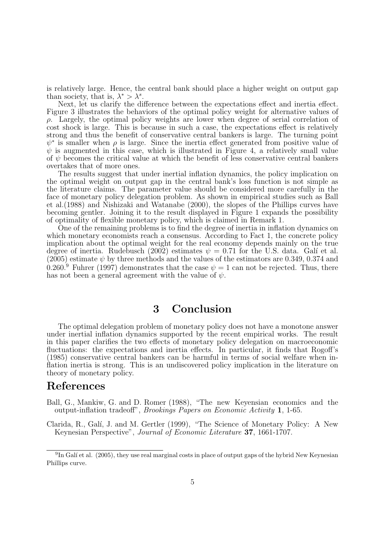is relatively large. Hence, the central bank should place a higher weight on output gap than society, that is,  $\lambda^* > \lambda^s$ .

Next, let us clarify the difference between the expectations effect and inertia effect. Figure 3 illustrates the behaviors of the optimal policy weight for alternative values of *ρ*. Largely, the optimal policy weights are lower when degree of serial correlation of cost shock is large. This is because in such a case, the expectations effect is relatively strong and thus the benefit of conservative central bankers is large. The turning point  $\psi^*$  is smaller when  $\rho$  is large. Since the inertia effect generated from positive value of  $\psi$  is augmented in this case, which is illustrated in Figure 4, a relatively small value of  $\psi$  becomes the critical value at which the benefit of less conservative central bankers overtakes that of more ones.

The results suggest that under inertial inflation dynamics, the policy implication on the optimal weight on output gap in the central bank's loss function is not simple as the literature claims. The parameter value should be considered more carefully in the face of monetary policy delegation problem. As shown in empirical studies such as Ball et al.(1988) and Nishizaki and Watanabe (2000), the slopes of the Phillips curves have becoming gentler. Joining it to the result displayed in Figure 1 expands the possibility of optimality of flexible monetary policy, which is claimed in Remark 1.

One of the remaining problems is to find the degree of inertia in inflation dynamics on which monetary economists reach a consensus. According to Fact 1, the concrete policy implication about the optimal weight for the real economy depends mainly on the true degree of inertia. Rudebusch (2002) estimates  $\psi = 0.71$  for the U.S. data. Galí et al. (2005) estimate  $\psi$  by three methods and the values of the estimators are 0.349, 0.374 and 0.260.<sup>9</sup> Fuhrer (1997) demonstrates that the case  $\psi = 1$  can not be rejected. Thus, there has not been a general agreement with the value of  $\psi$ .

## **3 Conclusion**

The optimal delegation problem of monetary policy does not have a monotone answer under inertial inflation dynamics supported by the recent empirical works. The result in this paper clarifies the two effects of monetary policy delegation on macroeconomic fluctuations: the expectations and inertia effects. In particular, it finds that Rogoff's (1985) conservative central bankers can be harmful in terms of social welfare when inflation inertia is strong. This is an undiscovered policy implication in the literature on theory of monetary policy.

### **References**

Ball, G., Mankiw, G. and D. Romer (1988), "The new Keyensian economics and the output-inflation tradeoff", *Brookings Papers on Economic Activity* **1**, 1-65.

Clarida, R., Galí, J. and M. Gertler (1999), "The Science of Monetary Policy: A New Keynesian Perspective", *Journal of Economic Literature* **37**, 1661-1707.

 ${}^{9}$ In Galí et al. (2005), they use real marginal costs in place of output gaps of the hybrid New Keynesian Phillips curve.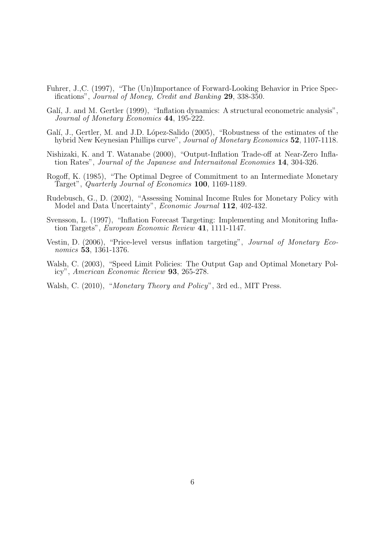- Fuhrer, J.,C. (1997), "The (Un)Importance of Forward-Looking Behavior in Price Specifications", *Journal of Money, Credit and Banking* **29**, 338-350.
- Galí, J. and M. Gertler (1999), "Inflation dynamics: A structural econometric analysis", *Journal of Monetary Economics* **44**, 195-222.
- Galí, J., Gertler, M. and J.D. López-Salido (2005), "Robustness of the estimates of the hybrid New Keynesian Phillips curve", *Journal of Monetary Economics* **52**, 1107-1118.
- Nishizaki, K. and T. Watanabe (2000), "Output-Inflation Trade-off at Near-Zero Inflation Rates", *Journal of the Japanese and Internaitonal Economies* **14**, 304-326.
- Rogoff, K. (1985), "The Optimal Degree of Commitment to an Intermediate Monetary Target", *Quarterly Journal of Economics* **100**, 1169-1189.
- Rudebusch, G., D. (2002), "Assessing Nominal Income Rules for Monetary Policy with Model and Data Uncertainty", *Economic Journal* **112**, 402-432.
- Svensson, L. (1997), "Inflation Forecast Targeting: Implementing and Monitoring Inflation Targets", *European Economic Review* **41**, 1111-1147.
- Vestin, D. (2006), "Price-level versus inflation targeting", *Journal of Monetary Economics* **53**, 1361-1376.
- Walsh, C. (2003), "Speed Limit Policies: The Output Gap and Optimal Monetary Policy", *American Economic Review* **93**, 265-278.
- Walsh, C. (2010), "*Monetary Theory and Policy*", 3rd ed., MIT Press.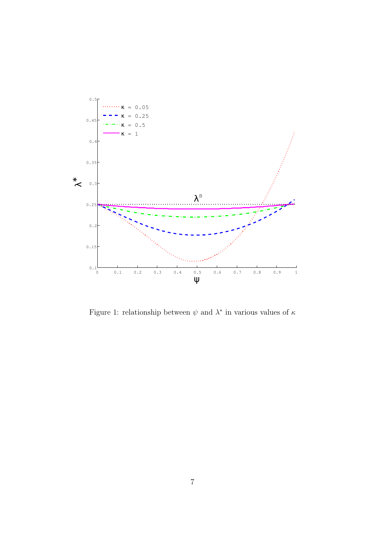

Figure 1: relationship between *ψ* and *λ ∗* in various values of *κ*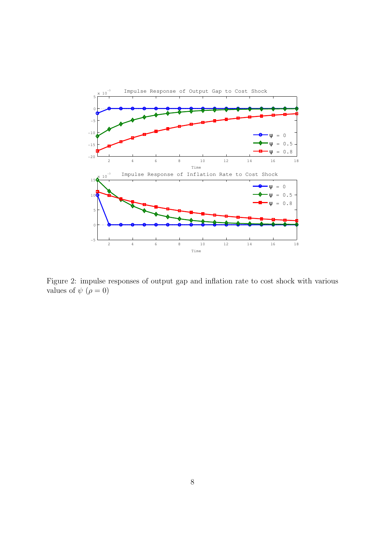

Figure 2: impulse responses of output gap and inflation rate to cost shock with various values of  $\psi$  ( $\rho = 0$ )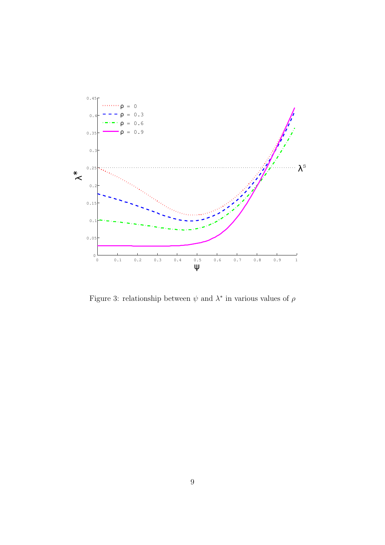

Figure 3: relationship between *ψ* and *λ ∗* in various values of *ρ*